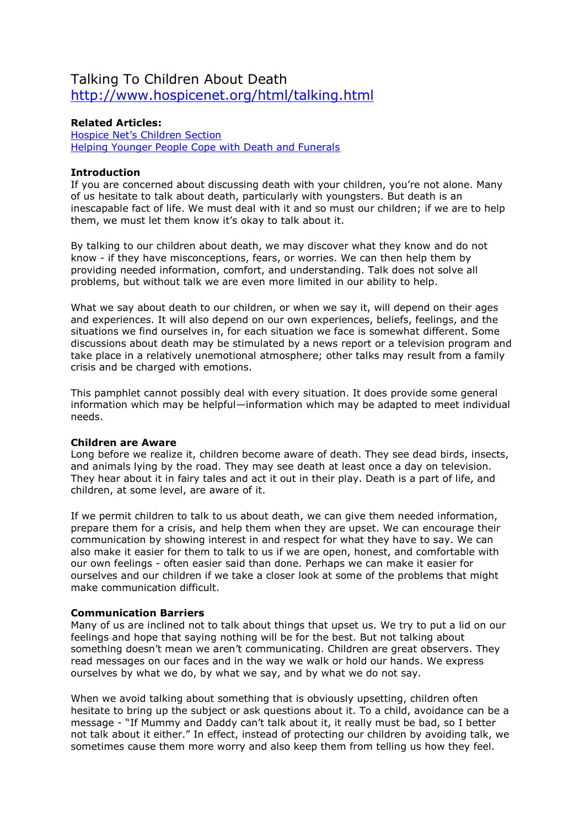# Talking To Children About Death <http://www.hospicenet.org/html/talking.html>

# **Related Articles:**

[Hospice Net's Children Section](http://www.hospicenet.org/html/child.html) [Helping Younger People Cope with Death and Funerals](http://www.hospicenet.org/html/younger.html) 

# **Introduction**

If you are concerned about discussing death with your children, you're not alone. Many of us hesitate to talk about death, particularly with youngsters. But death is an inescapable fact of life. We must deal with it and so must our children; if we are to help them, we must let them know it's okay to talk about it.

By talking to our children about death, we may discover what they know and do not know - if they have misconceptions, fears, or worries. We can then help them by providing needed information, comfort, and understanding. Talk does not solve all problems, but without talk we are even more limited in our ability to help.

What we say about death to our children, or when we say it, will depend on their ages and experiences. It will also depend on our own experiences, beliefs, feelings, and the situations we find ourselves in, for each situation we face is somewhat different. Some discussions about death may be stimulated by a news report or a television program and take place in a relatively unemotional atmosphere; other talks may result from a family crisis and be charged with emotions.

This pamphlet cannot possibly deal with every situation. It does provide some general information which may be helpful—information which may be adapted to meet individual needs.

# **Children are Aware**

Long before we realize it, children become aware of death. They see dead birds, insects, and animals lying by the road. They may see death at least once a day on television. They hear about it in fairy tales and act it out in their play. Death is a part of life, and children, at some level, are aware of it.

If we permit children to talk to us about death, we can give them needed information, prepare them for a crisis, and help them when they are upset. We can encourage their communication by showing interest in and respect for what they have to say. We can also make it easier for them to talk to us if we are open, honest, and comfortable with our own feelings - often easier said than done. Perhaps we can make it easier for ourselves and our children if we take a closer look at some of the problems that might make communication difficult.

# **Communication Barriers**

Many of us are inclined not to talk about things that upset us. We try to put a lid on our feelings and hope that saying nothing will be for the best. But not talking about something doesn't mean we aren't communicating. Children are great observers. They read messages on our faces and in the way we walk or hold our hands. We express ourselves by what we do, by what we say, and by what we do not say.

When we avoid talking about something that is obviously upsetting, children often hesitate to bring up the subject or ask questions about it. To a child, avoidance can be a message - "If Mummy and Daddy can't talk about it, it really must be bad, so I better not talk about it either." In effect, instead of protecting our children by avoiding talk, we sometimes cause them more worry and also keep them from telling us how they feel.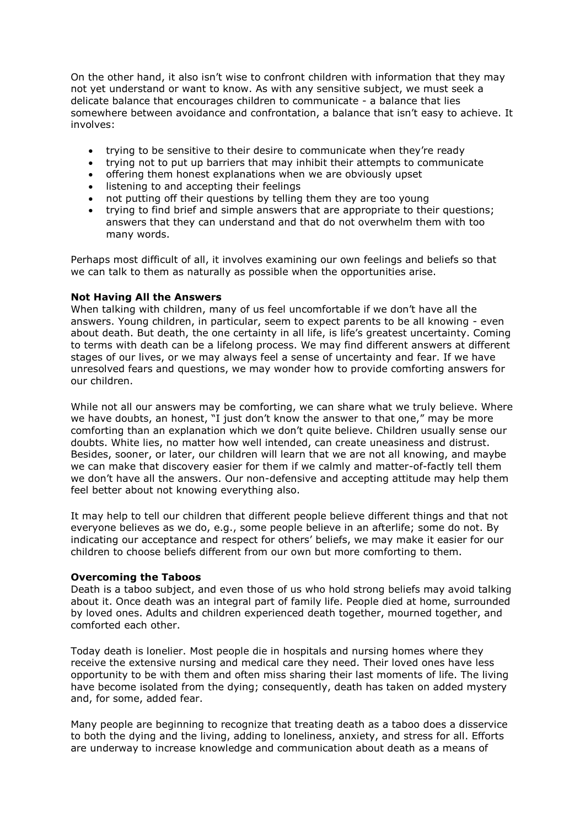On the other hand, it also isn't wise to confront children with information that they may not yet understand or want to know. As with any sensitive subject, we must seek a delicate balance that encourages children to communicate - a balance that lies somewhere between avoidance and confrontation, a balance that isn't easy to achieve. It involves:

- trying to be sensitive to their desire to communicate when they're ready
- trying not to put up barriers that may inhibit their attempts to communicate
- offering them honest explanations when we are obviously upset
- listening to and accepting their feelings
- not putting off their questions by telling them they are too young
- trying to find brief and simple answers that are appropriate to their questions; answers that they can understand and that do not overwhelm them with too many words.

Perhaps most difficult of all, it involves examining our own feelings and beliefs so that we can talk to them as naturally as possible when the opportunities arise.

# **Not Having All the Answers**

When talking with children, many of us feel uncomfortable if we don't have all the answers. Young children, in particular, seem to expect parents to be all knowing - even about death. But death, the one certainty in all life, is life's greatest uncertainty. Coming to terms with death can be a lifelong process. We may find different answers at different stages of our lives, or we may always feel a sense of uncertainty and fear. If we have unresolved fears and questions, we may wonder how to provide comforting answers for our children.

While not all our answers may be comforting, we can share what we truly believe. Where we have doubts, an honest, "I just don't know the answer to that one," may be more comforting than an explanation which we don't quite believe. Children usually sense our doubts. White lies, no matter how well intended, can create uneasiness and distrust. Besides, sooner, or later, our children will learn that we are not all knowing, and maybe we can make that discovery easier for them if we calmly and matter-of-factly tell them we don't have all the answers. Our non-defensive and accepting attitude may help them feel better about not knowing everything also.

It may help to tell our children that different people believe different things and that not everyone believes as we do, e.g., some people believe in an afterlife; some do not. By indicating our acceptance and respect for others' beliefs, we may make it easier for our children to choose beliefs different from our own but more comforting to them.

# **Overcoming the Taboos**

Death is a taboo subject, and even those of us who hold strong beliefs may avoid talking about it. Once death was an integral part of family life. People died at home, surrounded by loved ones. Adults and children experienced death together, mourned together, and comforted each other.

Today death is lonelier. Most people die in hospitals and nursing homes where they receive the extensive nursing and medical care they need. Their loved ones have less opportunity to be with them and often miss sharing their last moments of life. The living have become isolated from the dying; consequently, death has taken on added mystery and, for some, added fear.

Many people are beginning to recognize that treating death as a taboo does a disservice to both the dying and the living, adding to loneliness, anxiety, and stress for all. Efforts are underway to increase knowledge and communication about death as a means of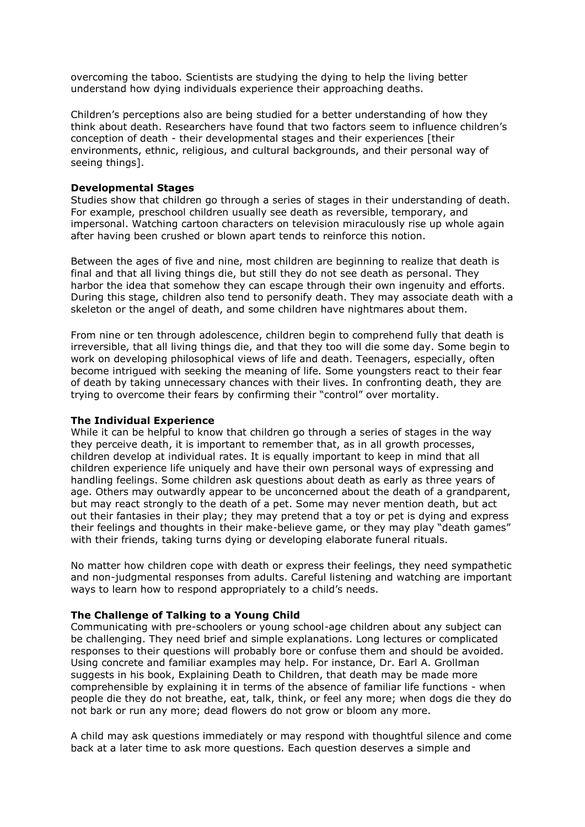overcoming the taboo. Scientists are studying the dying to help the living better understand how dying individuals experience their approaching deaths.

Children's perceptions also are being studied for a better understanding of how they think about death. Researchers have found that two factors seem to influence children's conception of death - their developmental stages and their experiences [their environments, ethnic, religious, and cultural backgrounds, and their personal way of seeing things].

# **Developmental Stages**

Studies show that children go through a series of stages in their understanding of death. For example, preschool children usually see death as reversible, temporary, and impersonal. Watching cartoon characters on television miraculously rise up whole again after having been crushed or blown apart tends to reinforce this notion.

Between the ages of five and nine, most children are beginning to realize that death is final and that all living things die, but still they do not see death as personal. They harbor the idea that somehow they can escape through their own ingenuity and efforts. During this stage, children also tend to personify death. They may associate death with a skeleton or the angel of death, and some children have nightmares about them.

From nine or ten through adolescence, children begin to comprehend fully that death is irreversible, that all living things die, and that they too will die some day. Some begin to work on developing philosophical views of life and death. Teenagers, especially, often become intrigued with seeking the meaning of life. Some youngsters react to their fear of death by taking unnecessary chances with their lives. In confronting death, they are trying to overcome their fears by confirming their "control" over mortality.

#### **The Individual Experience**

While it can be helpful to know that children go through a series of stages in the way they perceive death, it is important to remember that, as in all growth processes, children develop at individual rates. It is equally important to keep in mind that all children experience life uniquely and have their own personal ways of expressing and handling feelings. Some children ask questions about death as early as three years of age. Others may outwardly appear to be unconcerned about the death of a grandparent, but may react strongly to the death of a pet. Some may never mention death, but act out their fantasies in their play; they may pretend that a toy or pet is dying and express their feelings and thoughts in their make-believe game, or they may play "death games" with their friends, taking turns dying or developing elaborate funeral rituals.

No matter how children cope with death or express their feelings, they need sympathetic and non-judgmental responses from adults. Careful listening and watching are important ways to learn how to respond appropriately to a child's needs.

#### **The Challenge of Talking to a Young Child**

Communicating with pre-schoolers or young school-age children about any subject can be challenging. They need brief and simple explanations. Long lectures or complicated responses to their questions will probably bore or confuse them and should be avoided. Using concrete and familiar examples may help. For instance, Dr. Earl A. Grollman suggests in his book, Explaining Death to Children, that death may be made more comprehensible by explaining it in terms of the absence of familiar life functions - when people die they do not breathe, eat, talk, think, or feel any more; when dogs die they do not bark or run any more; dead flowers do not grow or bloom any more.

A child may ask questions immediately or may respond with thoughtful silence and come back at a later time to ask more questions. Each question deserves a simple and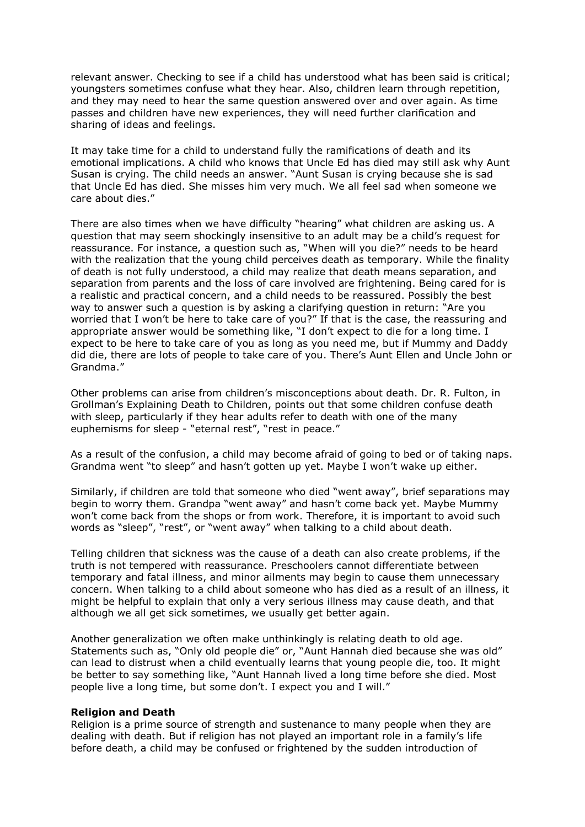relevant answer. Checking to see if a child has understood what has been said is critical; youngsters sometimes confuse what they hear. Also, children learn through repetition, and they may need to hear the same question answered over and over again. As time passes and children have new experiences, they will need further clarification and sharing of ideas and feelings.

It may take time for a child to understand fully the ramifications of death and its emotional implications. A child who knows that Uncle Ed has died may still ask why Aunt Susan is crying. The child needs an answer. "Aunt Susan is crying because she is sad that Uncle Ed has died. She misses him very much. We all feel sad when someone we care about dies."

There are also times when we have difficulty "hearing" what children are asking us. A question that may seem shockingly insensitive to an adult may be a child's request for reassurance. For instance, a question such as, "When will you die?" needs to be heard with the realization that the young child perceives death as temporary. While the finality of death is not fully understood, a child may realize that death means separation, and separation from parents and the loss of care involved are frightening. Being cared for is a realistic and practical concern, and a child needs to be reassured. Possibly the best way to answer such a question is by asking a clarifying question in return: "Are you worried that I won't be here to take care of you?" If that is the case, the reassuring and appropriate answer would be something like, "I don't expect to die for a long time. I expect to be here to take care of you as long as you need me, but if Mummy and Daddy did die, there are lots of people to take care of you. There's Aunt Ellen and Uncle John or Grandma."

Other problems can arise from children's misconceptions about death. Dr. R. Fulton, in Grollman's Explaining Death to Children, points out that some children confuse death with sleep, particularly if they hear adults refer to death with one of the many euphemisms for sleep - "eternal rest", "rest in peace."

As a result of the confusion, a child may become afraid of going to bed or of taking naps. Grandma went "to sleep" and hasn't gotten up yet. Maybe I won't wake up either.

Similarly, if children are told that someone who died "went away", brief separations may begin to worry them. Grandpa "went away" and hasn't come back yet. Maybe Mummy won't come back from the shops or from work. Therefore, it is important to avoid such words as "sleep", "rest", or "went away" when talking to a child about death.

Telling children that sickness was the cause of a death can also create problems, if the truth is not tempered with reassurance. Preschoolers cannot differentiate between temporary and fatal illness, and minor ailments may begin to cause them unnecessary concern. When talking to a child about someone who has died as a result of an illness, it might be helpful to explain that only a very serious illness may cause death, and that although we all get sick sometimes, we usually get better again.

Another generalization we often make unthinkingly is relating death to old age. Statements such as, "Only old people die" or, "Aunt Hannah died because she was old" can lead to distrust when a child eventually learns that young people die, too. It might be better to say something like, "Aunt Hannah lived a long time before she died. Most people live a long time, but some don't. I expect you and I will."

#### **Religion and Death**

Religion is a prime source of strength and sustenance to many people when they are dealing with death. But if religion has not played an important role in a family's life before death, a child may be confused or frightened by the sudden introduction of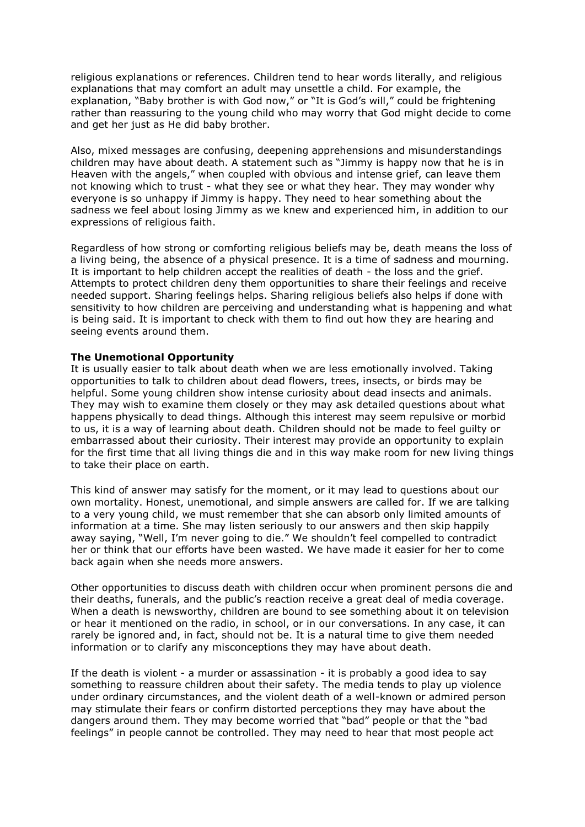religious explanations or references. Children tend to hear words literally, and religious explanations that may comfort an adult may unsettle a child. For example, the explanation, "Baby brother is with God now," or "It is God's will," could be frightening rather than reassuring to the young child who may worry that God might decide to come and get her just as He did baby brother.

Also, mixed messages are confusing, deepening apprehensions and misunderstandings children may have about death. A statement such as "Jimmy is happy now that he is in Heaven with the angels," when coupled with obvious and intense grief, can leave them not knowing which to trust - what they see or what they hear. They may wonder why everyone is so unhappy if Jimmy is happy. They need to hear something about the sadness we feel about losing Jimmy as we knew and experienced him, in addition to our expressions of religious faith.

Regardless of how strong or comforting religious beliefs may be, death means the loss of a living being, the absence of a physical presence. It is a time of sadness and mourning. It is important to help children accept the realities of death - the loss and the grief. Attempts to protect children deny them opportunities to share their feelings and receive needed support. Sharing feelings helps. Sharing religious beliefs also helps if done with sensitivity to how children are perceiving and understanding what is happening and what is being said. It is important to check with them to find out how they are hearing and seeing events around them.

#### **The Unemotional Opportunity**

It is usually easier to talk about death when we are less emotionally involved. Taking opportunities to talk to children about dead flowers, trees, insects, or birds may be helpful. Some young children show intense curiosity about dead insects and animals. They may wish to examine them closely or they may ask detailed questions about what happens physically to dead things. Although this interest may seem repulsive or morbid to us, it is a way of learning about death. Children should not be made to feel guilty or embarrassed about their curiosity. Their interest may provide an opportunity to explain for the first time that all living things die and in this way make room for new living things to take their place on earth.

This kind of answer may satisfy for the moment, or it may lead to questions about our own mortality. Honest, unemotional, and simple answers are called for. If we are talking to a very young child, we must remember that she can absorb only limited amounts of information at a time. She may listen seriously to our answers and then skip happily away saying, "Well, I'm never going to die." We shouldn't feel compelled to contradict her or think that our efforts have been wasted. We have made it easier for her to come back again when she needs more answers.

Other opportunities to discuss death with children occur when prominent persons die and their deaths, funerals, and the public's reaction receive a great deal of media coverage. When a death is newsworthy, children are bound to see something about it on television or hear it mentioned on the radio, in school, or in our conversations. In any case, it can rarely be ignored and, in fact, should not be. It is a natural time to give them needed information or to clarify any misconceptions they may have about death.

If the death is violent - a murder or assassination - it is probably a good idea to say something to reassure children about their safety. The media tends to play up violence under ordinary circumstances, and the violent death of a well-known or admired person may stimulate their fears or confirm distorted perceptions they may have about the dangers around them. They may become worried that "bad" people or that the "bad feelings" in people cannot be controlled. They may need to hear that most people act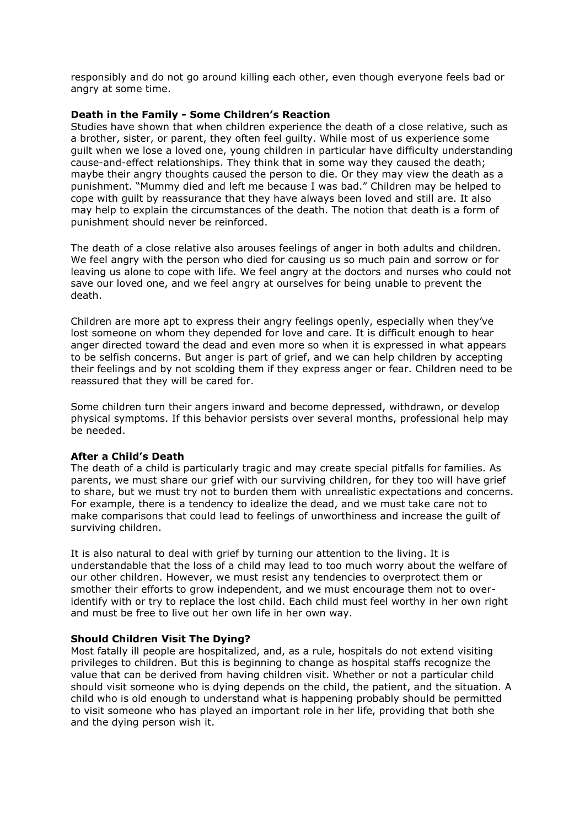responsibly and do not go around killing each other, even though everyone feels bad or angry at some time.

### **Death in the Family - Some Children's Reaction**

Studies have shown that when children experience the death of a close relative, such as a brother, sister, or parent, they often feel guilty. While most of us experience some guilt when we lose a loved one, young children in particular have difficulty understanding cause-and-effect relationships. They think that in some way they caused the death; maybe their angry thoughts caused the person to die. Or they may view the death as a punishment. "Mummy died and left me because I was bad." Children may be helped to cope with guilt by reassurance that they have always been loved and still are. It also may help to explain the circumstances of the death. The notion that death is a form of punishment should never be reinforced.

The death of a close relative also arouses feelings of anger in both adults and children. We feel angry with the person who died for causing us so much pain and sorrow or for leaving us alone to cope with life. We feel angry at the doctors and nurses who could not save our loved one, and we feel angry at ourselves for being unable to prevent the death.

Children are more apt to express their angry feelings openly, especially when they've lost someone on whom they depended for love and care. It is difficult enough to hear anger directed toward the dead and even more so when it is expressed in what appears to be selfish concerns. But anger is part of grief, and we can help children by accepting their feelings and by not scolding them if they express anger or fear. Children need to be reassured that they will be cared for.

Some children turn their angers inward and become depressed, withdrawn, or develop physical symptoms. If this behavior persists over several months, professional help may be needed.

#### **After a Child's Death**

The death of a child is particularly tragic and may create special pitfalls for families. As parents, we must share our grief with our surviving children, for they too will have grief to share, but we must try not to burden them with unrealistic expectations and concerns. For example, there is a tendency to idealize the dead, and we must take care not to make comparisons that could lead to feelings of unworthiness and increase the guilt of surviving children.

It is also natural to deal with grief by turning our attention to the living. It is understandable that the loss of a child may lead to too much worry about the welfare of our other children. However, we must resist any tendencies to overprotect them or smother their efforts to grow independent, and we must encourage them not to overidentify with or try to replace the lost child. Each child must feel worthy in her own right and must be free to live out her own life in her own way.

#### **Should Children Visit The Dying?**

Most fatally ill people are hospitalized, and, as a rule, hospitals do not extend visiting privileges to children. But this is beginning to change as hospital staffs recognize the value that can be derived from having children visit. Whether or not a particular child should visit someone who is dying depends on the child, the patient, and the situation. A child who is old enough to understand what is happening probably should be permitted to visit someone who has played an important role in her life, providing that both she and the dying person wish it.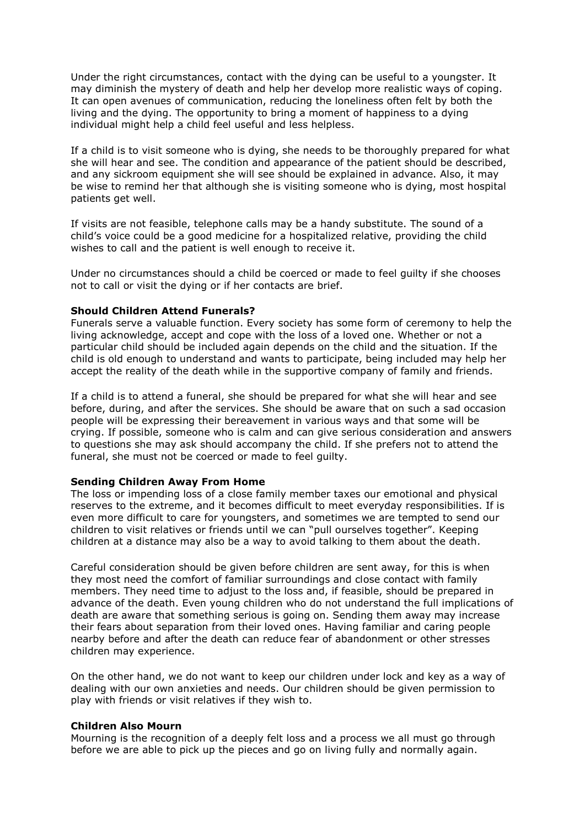Under the right circumstances, contact with the dying can be useful to a youngster. It may diminish the mystery of death and help her develop more realistic ways of coping. It can open avenues of communication, reducing the loneliness often felt by both the living and the dying. The opportunity to bring a moment of happiness to a dying individual might help a child feel useful and less helpless.

If a child is to visit someone who is dying, she needs to be thoroughly prepared for what she will hear and see. The condition and appearance of the patient should be described, and any sickroom equipment she will see should be explained in advance. Also, it may be wise to remind her that although she is visiting someone who is dying, most hospital patients get well.

If visits are not feasible, telephone calls may be a handy substitute. The sound of a child's voice could be a good medicine for a hospitalized relative, providing the child wishes to call and the patient is well enough to receive it.

Under no circumstances should a child be coerced or made to feel guilty if she chooses not to call or visit the dying or if her contacts are brief.

#### **Should Children Attend Funerals?**

Funerals serve a valuable function. Every society has some form of ceremony to help the living acknowledge, accept and cope with the loss of a loved one. Whether or not a particular child should be included again depends on the child and the situation. If the child is old enough to understand and wants to participate, being included may help her accept the reality of the death while in the supportive company of family and friends.

If a child is to attend a funeral, she should be prepared for what she will hear and see before, during, and after the services. She should be aware that on such a sad occasion people will be expressing their bereavement in various ways and that some will be crying. If possible, someone who is calm and can give serious consideration and answers to questions she may ask should accompany the child. If she prefers not to attend the funeral, she must not be coerced or made to feel guilty.

#### **Sending Children Away From Home**

The loss or impending loss of a close family member taxes our emotional and physical reserves to the extreme, and it becomes difficult to meet everyday responsibilities. If is even more difficult to care for youngsters, and sometimes we are tempted to send our children to visit relatives or friends until we can "pull ourselves together". Keeping children at a distance may also be a way to avoid talking to them about the death.

Careful consideration should be given before children are sent away, for this is when they most need the comfort of familiar surroundings and close contact with family members. They need time to adjust to the loss and, if feasible, should be prepared in advance of the death. Even young children who do not understand the full implications of death are aware that something serious is going on. Sending them away may increase their fears about separation from their loved ones. Having familiar and caring people nearby before and after the death can reduce fear of abandonment or other stresses children may experience.

On the other hand, we do not want to keep our children under lock and key as a way of dealing with our own anxieties and needs. Our children should be given permission to play with friends or visit relatives if they wish to.

#### **Children Also Mourn**

Mourning is the recognition of a deeply felt loss and a process we all must go through before we are able to pick up the pieces and go on living fully and normally again.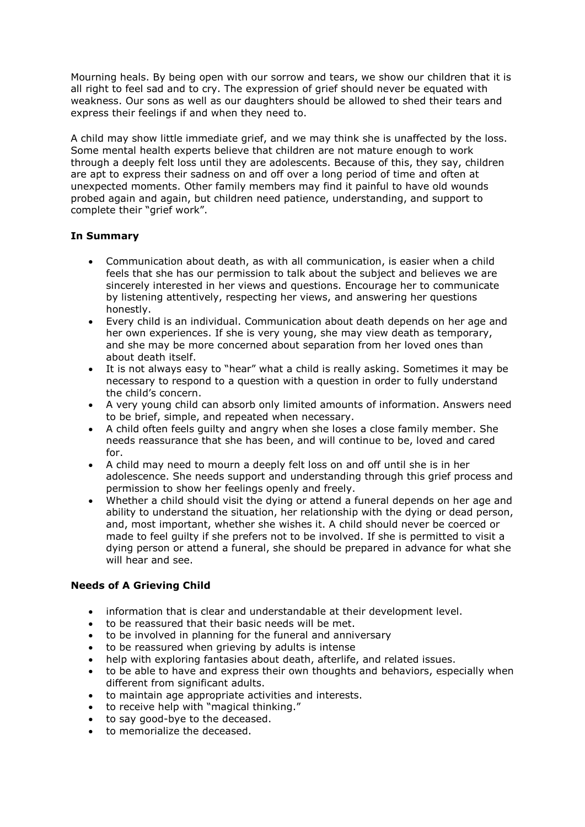Mourning heals. By being open with our sorrow and tears, we show our children that it is all right to feel sad and to cry. The expression of grief should never be equated with weakness. Our sons as well as our daughters should be allowed to shed their tears and express their feelings if and when they need to.

A child may show little immediate grief, and we may think she is unaffected by the loss. Some mental health experts believe that children are not mature enough to work through a deeply felt loss until they are adolescents. Because of this, they say, children are apt to express their sadness on and off over a long period of time and often at unexpected moments. Other family members may find it painful to have old wounds probed again and again, but children need patience, understanding, and support to complete their "grief work".

# **In Summary**

- Communication about death, as with all communication, is easier when a child feels that she has our permission to talk about the subject and believes we are sincerely interested in her views and questions. Encourage her to communicate by listening attentively, respecting her views, and answering her questions honestly.
- Every child is an individual. Communication about death depends on her age and her own experiences. If she is very young, she may view death as temporary, and she may be more concerned about separation from her loved ones than about death itself.
- It is not always easy to "hear" what a child is really asking. Sometimes it may be necessary to respond to a question with a question in order to fully understand the child's concern.
- A very young child can absorb only limited amounts of information. Answers need to be brief, simple, and repeated when necessary.
- A child often feels guilty and angry when she loses a close family member. She needs reassurance that she has been, and will continue to be, loved and cared for.
- A child may need to mourn a deeply felt loss on and off until she is in her adolescence. She needs support and understanding through this grief process and permission to show her feelings openly and freely.
- Whether a child should visit the dying or attend a funeral depends on her age and ability to understand the situation, her relationship with the dying or dead person, and, most important, whether she wishes it. A child should never be coerced or made to feel guilty if she prefers not to be involved. If she is permitted to visit a dying person or attend a funeral, she should be prepared in advance for what she will hear and see.

# **Needs of A Grieving Child**

- information that is clear and understandable at their development level.
- to be reassured that their basic needs will be met.
- to be involved in planning for the funeral and anniversary
- to be reassured when grieving by adults is intense
- help with exploring fantasies about death, afterlife, and related issues.
- to be able to have and express their own thoughts and behaviors, especially when different from significant adults.
- to maintain age appropriate activities and interests.
- to receive help with "magical thinking."
- to say good-bye to the deceased.
- to memorialize the deceased.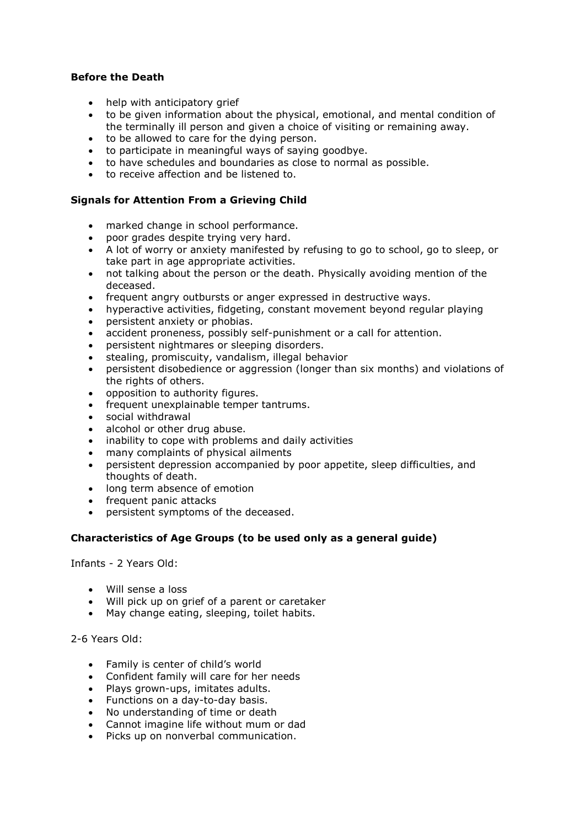# **Before the Death**

- help with anticipatory grief
- to be given information about the physical, emotional, and mental condition of the terminally ill person and given a choice of visiting or remaining away.
- to be allowed to care for the dying person.
- to participate in meaningful ways of saying goodbye.
- to have schedules and boundaries as close to normal as possible.
- to receive affection and be listened to.

# **Signals for Attention From a Grieving Child**

- marked change in school performance.
- poor grades despite trying very hard.
- A lot of worry or anxiety manifested by refusing to go to school, go to sleep, or take part in age appropriate activities.
- not talking about the person or the death. Physically avoiding mention of the deceased.
- frequent angry outbursts or anger expressed in destructive ways.
- hyperactive activities, fidgeting, constant movement beyond regular playing
- persistent anxiety or phobias.
- accident proneness, possibly self-punishment or a call for attention.
- persistent nightmares or sleeping disorders.
- stealing, promiscuity, vandalism, illegal behavior
- persistent disobedience or aggression (longer than six months) and violations of the rights of others.
- opposition to authority figures.
- frequent unexplainable temper tantrums.
- social withdrawal
- alcohol or other drug abuse.
- inability to cope with problems and daily activities
- many complaints of physical ailments
- persistent depression accompanied by poor appetite, sleep difficulties, and thoughts of death.
- long term absence of emotion
- frequent panic attacks
- persistent symptoms of the deceased.

# **Characteristics of Age Groups (to be used only as a general guide)**

Infants - 2 Years Old:

- Will sense a loss
- Will pick up on grief of a parent or caretaker
- May change eating, sleeping, toilet habits.

# 2-6 Years Old:

- Family is center of child's world
- Confident family will care for her needs
- Plays grown-ups, imitates adults.
- Functions on a day-to-day basis.
- No understanding of time or death
- Cannot imagine life without mum or dad
- Picks up on nonverbal communication.